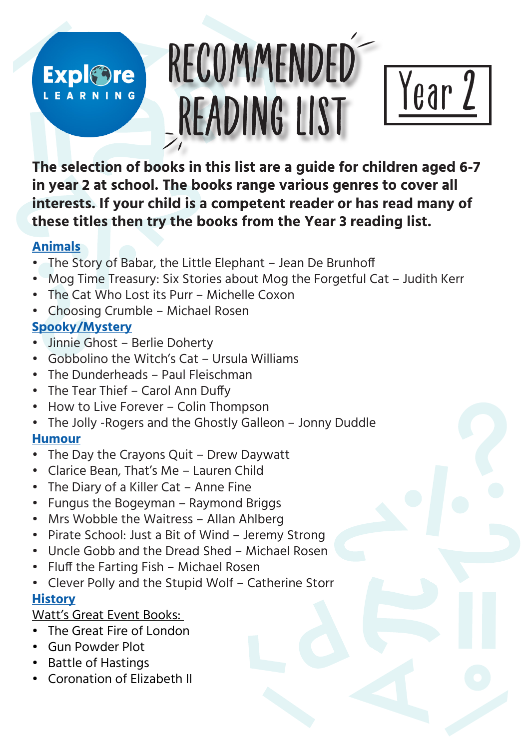## RECOMMENDED **Expl©re** LEARNING READING LIST



**The selection of books in this list are a guide for children aged 6-7 in year 2 at school. The books range various genres to cover all interests. If your child is a competent reader or has read many of these titles then try the books from the Year 3 reading list.** 

### **Animals**

- The Story of Babar, the Little Elephant Jean De Brunhoff
- Mog Time Treasury: Six Stories about Mog the Forgetful Cat Judith Kerr
- The Cat Who Lost its Purr Michelle Coxon
- Choosing Crumble Michael Rosen

## **Spooky/Mystery**

- Jinnie Ghost Berlie Doherty
- Gobbolino the Witch's Cat Ursula Williams
- The Dunderheads Paul Fleischman
- The Tear Thief Carol Ann Duffy
- How to Live Forever Colin Thompson
- The Jolly -Rogers and the Ghostly Galleon Jonny Duddle

## **Humour**

- The Day the Crayons Quit Drew Daywatt
- Clarice Bean, That's Me Lauren Child
- The Diary of a Killer Cat Anne Fine
- Fungus the Bogeyman Raymond Briggs
- Mrs Wobble the Waitress Allan Ahlberg
- Pirate School: Just a Bit of Wind Jeremy Strong
- Uncle Gobb and the Dread Shed Michael Rosen
- Fluff the Farting Fish Michael Rosen
- Clever Polly and the Stupid Wolf Catherine Storr

## **History**

## Watt's Great Event Books:

- The Great Fire of London
- Gun Powder Plot
- Battle of Hastings
- Coronation of Elizabeth II